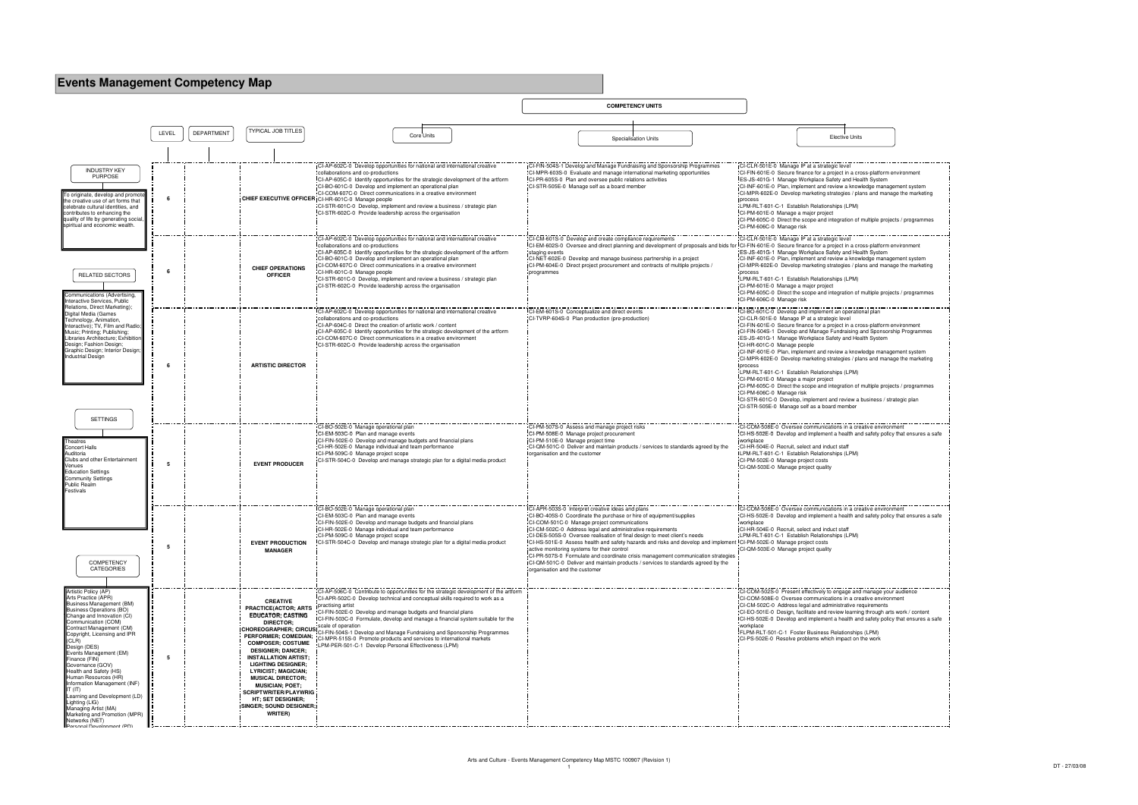| <b>Events Management Competency Map</b>                                                                                                                                                                                                                                                                                                                                                                                                                                                                                                   |       |            |                                                                                                                                                                                                                                                                                                                                                                                                                                                |                                                                                                                                                                                                                                                                                                                                                                                                                                                                                                                                                                                                      |                                                                                                                                                                                                                                                |                                                                                                                                                                                                                                                                                                                                                                                                                                                 |                                                                                                                                                                                                                                                                                                                                                                                                                                                                                                                                                                                                                                                                                                                                                                                                                                                               |
|-------------------------------------------------------------------------------------------------------------------------------------------------------------------------------------------------------------------------------------------------------------------------------------------------------------------------------------------------------------------------------------------------------------------------------------------------------------------------------------------------------------------------------------------|-------|------------|------------------------------------------------------------------------------------------------------------------------------------------------------------------------------------------------------------------------------------------------------------------------------------------------------------------------------------------------------------------------------------------------------------------------------------------------|------------------------------------------------------------------------------------------------------------------------------------------------------------------------------------------------------------------------------------------------------------------------------------------------------------------------------------------------------------------------------------------------------------------------------------------------------------------------------------------------------------------------------------------------------------------------------------------------------|------------------------------------------------------------------------------------------------------------------------------------------------------------------------------------------------------------------------------------------------|-------------------------------------------------------------------------------------------------------------------------------------------------------------------------------------------------------------------------------------------------------------------------------------------------------------------------------------------------------------------------------------------------------------------------------------------------|---------------------------------------------------------------------------------------------------------------------------------------------------------------------------------------------------------------------------------------------------------------------------------------------------------------------------------------------------------------------------------------------------------------------------------------------------------------------------------------------------------------------------------------------------------------------------------------------------------------------------------------------------------------------------------------------------------------------------------------------------------------------------------------------------------------------------------------------------------------|
|                                                                                                                                                                                                                                                                                                                                                                                                                                                                                                                                           |       |            |                                                                                                                                                                                                                                                                                                                                                                                                                                                |                                                                                                                                                                                                                                                                                                                                                                                                                                                                                                                                                                                                      |                                                                                                                                                                                                                                                | <b>COMPETENCY UNITS</b>                                                                                                                                                                                                                                                                                                                                                                                                                         |                                                                                                                                                                                                                                                                                                                                                                                                                                                                                                                                                                                                                                                                                                                                                                                                                                                               |
|                                                                                                                                                                                                                                                                                                                                                                                                                                                                                                                                           | LEVEL | DEPARTMENT | <b>TYPICAL JOB TITLES</b>                                                                                                                                                                                                                                                                                                                                                                                                                      | <b>Core Units</b>                                                                                                                                                                                                                                                                                                                                                                                                                                                                                                                                                                                    |                                                                                                                                                                                                                                                | <b>Specialisation Units</b>                                                                                                                                                                                                                                                                                                                                                                                                                     | <b>Elective Units</b>                                                                                                                                                                                                                                                                                                                                                                                                                                                                                                                                                                                                                                                                                                                                                                                                                                         |
| <b>INDUSTRY KEY</b><br><b>PURPOSE</b><br>o originate, develop and promot<br>he creative use of art forms that<br>celebrate cultural identities, and<br>contributes to enhancing the<br>quality of life by generating social<br>spiritual and economic wealth.                                                                                                                                                                                                                                                                             | - 6   |            |                                                                                                                                                                                                                                                                                                                                                                                                                                                | CI-AP-602C-0 Develop opportunities for national and international creative<br>collaborations and co-productions<br>CI-AP-605C-0 Identify opportunities for the strategic development of the artform<br>CI-BO-601C-0 Develop and implement an operational plan<br>CI-COM-607C-0 Direct communications in a creative environment<br>CHIEF EXECUTIVE OFFICER CI-HR-601C-0 Manage people<br>CI-STR-601C-0 Develop, implement and review a business / strategic plan<br>CI-STR-602C-0 Provide leadership across the organisation                                                                          | CI-PR-605S-0 Plan and oversee public relations activities<br>CI-STR-505E-0 Manage self as a board member                                                                                                                                       | CI-FIN-504S-1 Develop and Manage Fundraising and Sponsorship Programmes<br>CI-MPR-603S-0 Evaluate and manage international marketing opportunities                                                                                                                                                                                                                                                                                              | CI-CLR-501E-0 Manage IP at a strategic level<br>"CI-FIN-601E-0 Secure finance for a project in a cross-platform environment<br>ES-JS-401G-1 Manage Workplace Safety and Health System<br>CI-INF-601E-0 Plan, implement and review a knowledge management system<br>CI-MPR-602E-0 Develop marketing strategies / plans and manage the marketing<br>process<br>LPM-RLT-601-C-1 Establish Relationships (LPM)<br>CI-PM-601E-0 Manage a major project<br>CI-PM-605C-0 Direct the scope and integration of multiple projects / programmes<br>CI-PM-606C-0 Manage risk                                                                                                                                                                                                                                                                                              |
| <b>RELATED SECTORS</b><br>ommunications (Advertising,<br>nteractive Services, Public                                                                                                                                                                                                                                                                                                                                                                                                                                                      | - 6   |            | <b>CHIEF OPERATIONS</b><br><b>OFFICER</b>                                                                                                                                                                                                                                                                                                                                                                                                      | CI-AP-602C-0 Develop opportunities for national and international creative<br>collaborations and co-productions<br>CI-AP-605C-0 Identify opportunities for the strategic development of the artform<br>CI-BO-601C-0 Develop and implement an operational plan<br>ICI-COM-607C-0 Direct communications in a creative environment<br>CI-HR-601C-0 Manage people<br>CI-STR-601C-0 Develop, implement and review a business / strategic plan<br>CI-STR-602C-0 Provide leadership across the organisation                                                                                                 | CI-CM-601S-0 Develop and create compliance requirements<br>staging events<br>programmes                                                                                                                                                        | CI-EM-602S-0 Oversee and direct planning and development of proposals and bids for<br>CI-NET-602E-0 Develop and manage business partnership in a project<br>CI-PM-604E-0 Direct project procurement and contracts of multiple projects /                                                                                                                                                                                                        | CI-CLR-501E-0 Manage IP at a strategic level<br>CI-FIN-601E-0 Secure finance for a project in a cross-platform environment<br>ES-JS-401G-1 Manage Workplace Safety and Health System<br>CI-INF-601E-0 Plan, implement and review a knowledge management system<br>ICI-MPR-602E-0 Develop marketing strategies / plans and manage the marketing<br>process<br>LPM-RLT-601-C-1 Establish Relationships (LPM)<br>CI-PM-601E-0 Manage a major project<br>CI-PM-605C-0 Direct the scope and integration of multiple projects / programmes<br>CI-PM-606C-0 Manage risk                                                                                                                                                                                                                                                                                              |
| Relations, Direct Marketing);<br>Digital Media (Games<br>Technology, Animation,<br>Interactive); TV, Film and Radio;<br>Music; Printing; Publishing;<br>ibraries Architecture; Exhibition<br>Design; Fashion Design;<br>Graphic Design; Interior Design<br><b>Industrial Design</b><br><b>SETTINGS</b>                                                                                                                                                                                                                                    | - 6   |            | <b>ARTISTIC DIRECTOR</b>                                                                                                                                                                                                                                                                                                                                                                                                                       | I-AP-602C-0 Develop opportunities for national and international creative<br>collaborations and co-productions<br>CI-AP-604C-0 Direct the creation of artistic work / content<br>CI-AP-605C-0 Identify opportunities for the strategic development of the artform<br>CI-COM-607C-0 Direct communications in a creative environment<br>CI-STR-602C-0 Provide leadership across the organisation                                                                                                                                                                                                       | CI-EM-601S-0 Conceptualize and direct events<br>CI-TVRP-604S-0 Plan production (pre-production)                                                                                                                                                |                                                                                                                                                                                                                                                                                                                                                                                                                                                 | CI-BO-601C-0 Develop and implement an operational plan<br>CI-CLR-501E-0 Manage IP at a strategic level<br>CI-FIN-601E-0 Secure finance for a project in a cross-platform environment<br>ICI-FIN-504S-1 Develop and Manage Fundraising and Sponsorship Programmes<br>ES-JS-401G-1 Manage Workplace Safety and Health System<br>CI-HR-601C-0 Manage people<br>CI-INF-601E-0 Plan, implement and review a knowledge management system<br>CI-MPR-602E-0 Develop marketing strategies / plans and manage the marketing<br>process<br>LPM-RLT-601-C-1 Establish Relationships (LPM)<br>CI-PM-601E-0 Manage a major project<br>CI-PM-605C-0 Direct the scope and integration of multiple projects / programmes<br>CI-PM-606C-0 Manage risk<br>CI-STR-601C-0 Develop, implement and review a business / strategic plan<br>CI-STR-505E-0 Manage self as a board member |
| heatres<br>Concert Halls<br>Auditoria<br>Clubs and other Entertainment<br>Venues<br><b>Education Settings</b><br>Community Settings<br>Public Realm<br>Festivals                                                                                                                                                                                                                                                                                                                                                                          | -5    |            | <b>EVENT PRODUCER</b>                                                                                                                                                                                                                                                                                                                                                                                                                          | I-BO-502E-0 Manage operational plan<br>CI-EM-503C-0 Plan and manage events<br>CI-FIN-502E-0 Develop and manage budgets and financial plans<br>CI-HR-502E-0 Manage individual and team performance<br>CI-PM-509C-0 Manage project scope<br>CI-STR-504C-0 Develop and manage strategic plan for a digital media product                                                                                                                                                                                                                                                                                | CI-PM-507S-0 Assess and manage project risks<br>CI-PM-508E-0 Manage project procurement<br>CI-PM-510E-0 Manage project time<br>organisation and the customer                                                                                   | CI-QM-501C-0 Deliver and maintain products / services to standards agreed by the                                                                                                                                                                                                                                                                                                                                                                | CI-COM-508E-0 Oversee communications in a creative environment<br>CI-HS-502E-0 Develop and implement a health and safety policy that ensures a safe<br>workplace<br>CI-HR-504E-0 Recruit, select and induct staff<br>LPM-RLT-601-C-1 Establish Relationships (LPM)<br>CI-PM-502E-0 Manage project costs<br>CI-QM-503E-0 Manage project quality                                                                                                                                                                                                                                                                                                                                                                                                                                                                                                                |
| COMPETENCY<br><b>CATEGORIES</b>                                                                                                                                                                                                                                                                                                                                                                                                                                                                                                           | -5    |            | <b>EVENT PRODUCTION</b><br><b>MANAGER</b>                                                                                                                                                                                                                                                                                                                                                                                                      | ICI-BO-502E-0 Manage operational plan<br>CI-EM-503C-0 Plan and manage events<br>CI-FIN-502E-0 Develop and manage budgets and financial plans<br>ICI-HR-502E-0 Manage individual and team performance<br>CI-PM-509C-0 Manage project scope<br>CI-STR-504C-0 Develop and manage strategic plan for a digital media product                                                                                                                                                                                                                                                                             | ICI-APR-503S-0 Interpret creative ideas and plans<br>CI-COM-501C-0 Manage project communications<br>CI-CM-502C-0 Address legal and administrative requirements<br>active monitoring systems for their control<br>organisation and the customer | CI-BO-405S-0 Coordinate the purchase or hire of equipment/supplies<br>CI-DES-505S-0 Oversee realisation of final design to meet client's needs<br>ICI-HS-501E-0 Assess health and safety hazards and risks and develop and implement ICI-PM-502E-0 Manage project costs<br>CI-PR-507S-0 Formulate and coordinate crisis management communication strategies<br>CI-QM-501C-0 Deliver and maintain products / services to standards agreed by the | ICI-COM-508E-0 Oversee communications in a creative environment<br>CI-HS-502E-0 Develop and implement a health and safety policy that ensures a safe<br>workplace<br>CI-HR-504E-0 Recruit, select and induct staff<br>LPM-RLT-601-C-1 Establish Relationships (LPM)<br>CI-QM-503E-0 Manage project quality                                                                                                                                                                                                                                                                                                                                                                                                                                                                                                                                                    |
| Artistic Policy (AP)<br>Arts Practice (APR)<br>Business Management (BM)<br>Business Operations (BO)<br>Change and Innovation (CI)<br>Communication (COM)<br>Contract Management (CM)<br>Copyright, Licensing and IPR<br>(CLR)<br>Design (DES)<br>Events Management (EM)<br>Finance (FIN)<br>Governance (GOV)<br>Health and Safety (HS)<br>Human Resources (HR)<br>Information Management (INF)<br>$IT$ (IT)<br>Learning and Development (LD)<br>Lighting (LIG)<br>Managing Artist (MA)<br>Marketing and Promotion (MPR)<br>Networks (NET) | 5     |            | <b>CREATIVE</b><br><b>PRACTICE(ACTOR: ARTS</b><br><b>EDUCATOR: CASTING</b><br><b>DIRECTOR:</b><br><b>PERFORMER; COMEDIAN;</b><br><b>COMPOSER: COSTUME</b><br><b>DESIGNER; DANCER;</b><br><b>INSTALLATION ARTIST:</b><br><b>LIGHTING DESIGNER:</b><br><b>LYRICIST; MAGICIAN;</b><br><b>MUSICAL DIRECTOR:</b><br><b>MUSICIAN; POET;</b><br><b>SCRIPTWRITER/PLAYWRIG</b><br>HT; SET DESIGNER;<br><b>ISINGER: SOUND DESIGNER:</b><br><b>WRITER</b> | I-AP-506C-0 Contribute to opportunities for the strategic development of the artform<br>CI-APR-502C-0 Develop technical and conceptual skills required to work as a<br>practising artist<br>CI-FIN-502E-0 Develop and manage budgets and financial plans<br>ICI-FIN-503C-0 Formulate, develop and manage a financial system suitable for the<br>scale of operation<br>ICHOREOGRAPHER; CIRCUSI CLFIN-504S-1 Develop and Manage Fundraising and Sponsorship Programmes<br>CI-MPR-515S-0 Promote products and services to international markets<br>LPM-PER-501-C-1 Develop Personal Effectiveness (LPM) |                                                                                                                                                                                                                                                |                                                                                                                                                                                                                                                                                                                                                                                                                                                 | -COM-502S-0 Present effectively to engage and manage your audience<br>CI-COM-508E-0 Oversee communications in a creative environment<br>CI-CM-502C-0 Address legal and administrative requirements<br>CI-EO-501E-0 Design, facilitate and review learning through arts work / content<br>ICI-HS-502E-0 Develop and implement a health and safety policy that ensures a safe<br>workplace<br>FLPM-RLT-501-C-1 Foster Business Relationships (LPM)<br>CI-PS-502E-0 Resolve problems which impact on the work                                                                                                                                                                                                                                                                                                                                                    |

| vel<br>I                                                       |
|----------------------------------------------------------------|
| in a cross-platform environment<br>I                           |
| and Health System<br>a knowledge management system             |
| I<br>ies / plans and manage the marketing                      |
| L                                                              |
| (LPM)                                                          |
| ttion of multiple projects / programmes                        |
|                                                                |
| vel                                                            |
| in a cross-platform environment                                |
| and Health System<br>a knowledge management system             |
| ies / plans and manage the marketing                           |
| <u>ו</u><br>ו                                                  |
| (LPM)<br>i                                                     |
| ttion of multiple projects / programmes                        |
| i                                                              |
| perational plan                                                |
| vel<br>I                                                       |
| in a cross-platform environment                                |
| aising and Sponsorship Programmes<br>L<br>and Health System    |
|                                                                |
| a knowledge management system                                  |
| ies / plans and manage the marketing                           |
| (LPM)                                                          |
|                                                                |
| ttion of multiple projects / programmes                        |
| view a business / strategic plan                               |
| ember                                                          |
| ļ                                                              |
| i<br>in a creative environment                                 |
|                                                                |
| alth and safety policy that ensures a safe                     |
|                                                                |
| aff<br>(LPM)                                                   |
|                                                                |
| L                                                              |
|                                                                |
|                                                                |
|                                                                |
| in a creative environment                                      |
| alth and safety policy that ensures a safe                     |
|                                                                |
| aff<br>(LPM)                                                   |
|                                                                |
|                                                                |
|                                                                |
|                                                                |
|                                                                |
|                                                                |
| age and manage your audience<br>L<br>in a creative environment |
| i<br>ative requirements                                        |
| learning through arts work / content                           |
| alth and safety policy that ensures a safe                     |
| ionships (LPM)                                                 |
| act on the work                                                |
|                                                                |
|                                                                |
|                                                                |
|                                                                |
|                                                                |
|                                                                |
|                                                                |
|                                                                |
|                                                                |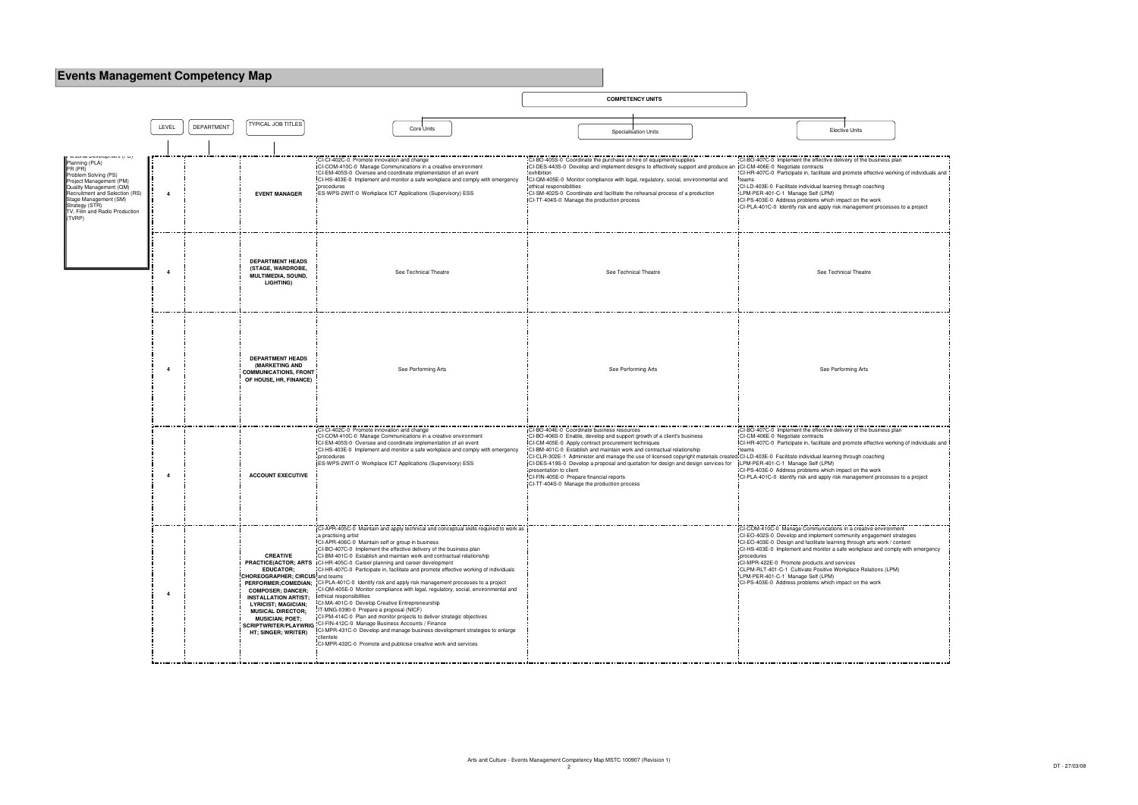## **Events Management Competency Map**



| 5                                                                                                        |
|----------------------------------------------------------------------------------------------------------|
| the business plan                                                                                        |
| e effective working of individuals and                                                                   |
| i coaching                                                                                               |
| the work<br>ement processes to a project                                                                 |
|                                                                                                          |
|                                                                                                          |
| eatre                                                                                                    |
|                                                                                                          |
| Arts                                                                                                     |
|                                                                                                          |
| the business plan                                                                                        |
| e effective working of individuals and                                                                   |
| ı coaching                                                                                               |
| the work<br>ement processes to a project                                                                 |
|                                                                                                          |
| eative environment<br>engagement strategies<br>gh arts work / content<br>place and comply with emergency |
| Relations (LPM)                                                                                          |
| the work                                                                                                 |
|                                                                                                          |
|                                                                                                          |
|                                                                                                          |
|                                                                                                          |
|                                                                                                          |